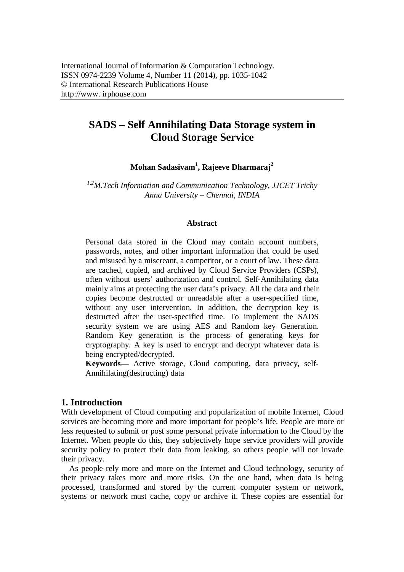# **SADS – Self Annihilating Data Storage system in Cloud Storage Service**

**Mohan Sadasivam<sup>1</sup> , Rajeeve Dharmaraj<sup>2</sup>**

*1,2M.Tech Information and Communication Technology, JJCET Trichy Anna University – Chennai, INDIA*

### **Abstract**

Personal data stored in the Cloud may contain account numbers, passwords, notes, and other important information that could be used and misused by a miscreant, a competitor, or a court of law. These data are cached, copied, and archived by Cloud Service Providers (CSPs), often without users' authorization and control. Self-Annihilating data mainly aims at protecting the user data's privacy. All the data and their copies become destructed or unreadable after a user-specified time, without any user intervention. In addition, the decryption key is destructed after the user-specified time. To implement the SADS security system we are using AES and Random key Generation. Random Key generation is the process of generating keys for cryptography. A key is used to encrypt and decrypt whatever data is being encrypted/decrypted.

**Keywords—** Active storage, Cloud computing, data privacy, self-Annihilating(destructing) data

### **1. Introduction**

With development of Cloud computing and popularization of mobile Internet, Cloud services are becoming more and more important for people's life. People are more or less requested to submit or post some personal private information to the Cloud by the Internet. When people do this, they subjectively hope service providers will provide security policy to protect their data from leaking, so others people will not invade their privacy.

 As people rely more and more on the Internet and Cloud technology, security of their privacy takes more and more risks. On the one hand, when data is being processed, transformed and stored by the current computer system or network, systems or network must cache, copy or archive it. These copies are essential for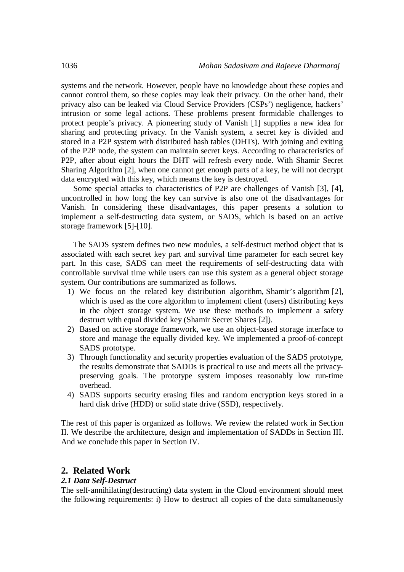systems and the network. However, people have no knowledge about these copies and cannot control them, so these copies may leak their privacy. On the other hand, their privacy also can be leaked via Cloud Service Providers (CSPs') negligence, hackers' intrusion or some legal actions. These problems present formidable challenges to protect people's privacy. A pioneering study of Vanish [1] supplies a new idea for sharing and protecting privacy. In the Vanish system, a secret key is divided and stored in a P2P system with distributed hash tables (DHTs). With joining and exiting of the P2P node, the system can maintain secret keys. According to characteristics of P2P, after about eight hours the DHT will refresh every node. With Shamir Secret Sharing Algorithm [2], when one cannot get enough parts of a key, he will not decrypt data encrypted with this key, which means the key is destroyed.

Some special attacks to characteristics of P2P are challenges of Vanish [3], [4], uncontrolled in how long the key can survive is also one of the disadvantages for Vanish. In considering these disadvantages, this paper presents a solution to implement a self-destructing data system, or SADS, which is based on an active storage framework [5]-[10].

The SADS system defines two new modules, a self-destruct method object that is associated with each secret key part and survival time parameter for each secret key part. In this case, SADS can meet the requirements of self-destructing data with controllable survival time while users can use this system as a general object storage system. Our contributions are summarized as follows.

- 1) We focus on the related key distribution algorithm, Shamir's algorithm [2], which is used as the core algorithm to implement client (users) distributing keys in the object storage system. We use these methods to implement a safety destruct with equal divided key (Shamir Secret Shares [2]).
- 2) Based on active storage framework, we use an object-based storage interface to store and manage the equally divided key. We implemented a proof-of-concept SADS prototype.
- 3) Through functionality and security properties evaluation of the SADS prototype, the results demonstrate that SADDs is practical to use and meets all the privacypreserving goals. The prototype system imposes reasonably low run-time overhead.
- 4) SADS supports security erasing files and random encryption keys stored in a hard disk drive (HDD) or solid state drive (SSD), respectively.

The rest of this paper is organized as follows. We review the related work in Section II. We describe the architecture, design and implementation of SADDs in Section III. And we conclude this paper in Section IV.

### **2. Related Work**

### *2.1 Data Self-Destruct*

The self-annihilating(destructing) data system in the Cloud environment should meet the following requirements: i) How to destruct all copies of the data simultaneously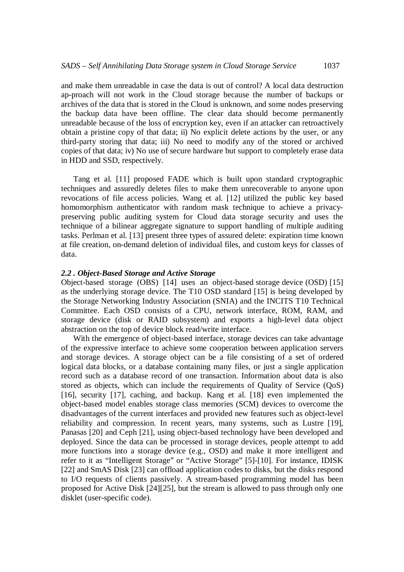and make them unreadable in case the data is out of control? A local data destruction ap-proach will not work in the Cloud storage because the number of backups or archives of the data that is stored in the Cloud is unknown, and some nodes preserving the backup data have been offline. The clear data should become permanently unreadable because of the loss of encryption key, even if an attacker can retroactively obtain a pristine copy of that data; ii) No explicit delete actions by the user, or any third-party storing that data; iii) No need to modify any of the stored or archived copies of that data; iv) No use of secure hardware but support to completely erase data in HDD and SSD, respectively.

Tang et al. [11] proposed FADE which is built upon standard cryptographic techniques and assuredly deletes files to make them unrecoverable to anyone upon revocations of file access policies. Wang et al. [12] utilized the public key based homomorphism authenticator with random mask technique to achieve a privacypreserving public auditing system for Cloud data storage security and uses the technique of a bilinear aggregate signature to support handling of multiple auditing tasks. Perlman et al. [13] present three types of assured delete: expiration time known at file creation, on-demand deletion of individual files, and custom keys for classes of data.

#### *2.2 . Object-Based Storage and Active Storage*

Object-based storage (OBS) [14] uses an object-based storage device (OSD) [15] as the underlying storage device. The T10 OSD standard [15] is being developed by the Storage Networking Industry Association (SNIA) and the INCITS T10 Technical Committee. Each OSD consists of a CPU, network interface, ROM, RAM, and storage device (disk or RAID subsystem) and exports a high-level data object abstraction on the top of device block read/write interface.

With the emergence of object-based interface, storage devices can take advantage of the expressive interface to achieve some cooperation between application servers and storage devices. A storage object can be a file consisting of a set of ordered logical data blocks, or a database containing many files, or just a single application record such as a database record of one transaction. Information about data is also stored as objects, which can include the requirements of Quality of Service (QoS) [16], security [17], caching, and backup. Kang et al. [18] even implemented the object-based model enables storage class memories (SCM) devices to overcome the disadvantages of the current interfaces and provided new features such as object-level reliability and compression. In recent years, many systems, such as Lustre [19], Panasas [20] and Ceph [21], using object-based technology have been developed and deployed. Since the data can be processed in storage devices, people attempt to add more functions into a storage device (e.g., OSD) and make it more intelligent and refer to it as "Intelligent Storage" or "Active Storage" [5]-[10]. For instance, IDISK [22] and SmAS Disk [23] can offload application codes to disks, but the disks respond to I/O requests of clients passively. A stream-based programming model has been proposed for Active Disk [24][25], but the stream is allowed to pass through only one disklet (user-specific code).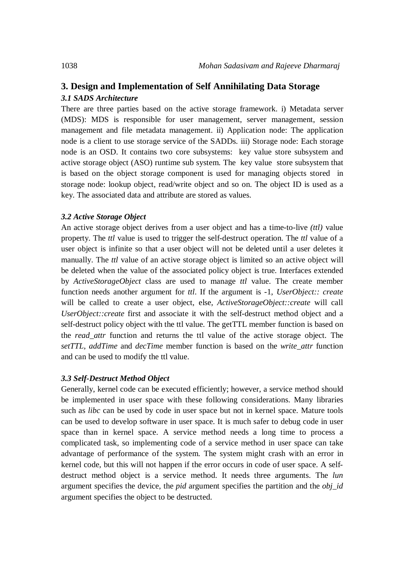## **3. Design and Implementation of Self Annihilating Data Storage** *3.1 SADS Architecture*

There are three parties based on the active storage framework. i) Metadata server (MDS): MDS is responsible for user management, server management, session management and file metadata management. ii) Application node: The application node is a client to use storage service of the SADDs. iii) Storage node: Each storage node is an OSD. It contains two core subsystems: key value store subsystem and active storage object (ASO) runtime sub system. The key value store subsystem that is based on the object storage component is used for managing objects stored in storage node: lookup object, read/write object and so on. The object ID is used as a key. The associated data and attribute are stored as values.

### *3.2 Active Storage Object*

An active storage object derives from a user object and has a time-to-live *(ttl)* value property. The *ttl* value is used to trigger the self-destruct operation. The *ttl* value of a user object is infinite so that a user object will not be deleted until a user deletes it manually. The *ttl* value of an active storage object is limited so an active object will be deleted when the value of the associated policy object is true. Interfaces extended by *ActiveStorageObject* class are used to manage *ttl* value. The create member function needs another argument for *ttl*. If the argument is -1, *UserObject:: create* will be called to create a user object, else, *ActiveStorageObject::create* will call *UserObject::create* first and associate it with the self-destruct method object and a self-destruct policy object with the ttl value. The getTTL member function is based on the *read\_attr* function and returns the ttl value of the active storage object. The *setTTL*, *addTime* and *decTime* member function is based on the *write\_attr* function and can be used to modify the ttl value.

### *3.3 Self-Destruct Method Object*

Generally, kernel code can be executed efficiently; however, a service method should be implemented in user space with these following considerations. Many libraries such as *libc* can be used by code in user space but not in kernel space. Mature tools can be used to develop software in user space. It is much safer to debug code in user space than in kernel space. A service method needs a long time to process a complicated task, so implementing code of a service method in user space can take advantage of performance of the system. The system might crash with an error in kernel code, but this will not happen if the error occurs in code of user space. A selfdestruct method object is a service method. It needs three arguments. The *lun* argument specifies the device, the *pid* argument specifies the partition and the *obj\_id* argument specifies the object to be destructed.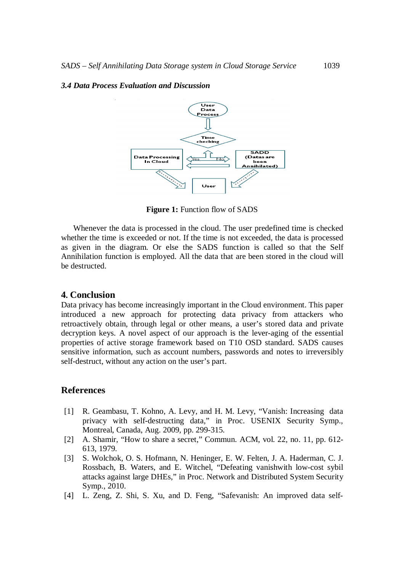### *3.4 Data Process Evaluation and Discussion*



**Figure 1:** Function flow of SADS

Whenever the data is processed in the cloud. The user predefined time is checked whether the time is exceeded or not. If the time is not exceeded, the data is processed as given in the diagram. Or else the SADS function is called so that the Self Annihilation function is employed. All the data that are been stored in the cloud will be destructed.

## **4. Conclusion**

Data privacy has become increasingly important in the Cloud environment. This paper introduced a new approach for protecting data privacy from attackers who retroactively obtain, through legal or other means, a user's stored data and private decryption keys. A novel aspect of our approach is the lever-aging of the essential properties of active storage framework based on T10 OSD standard. SADS causes sensitive information, such as account numbers, passwords and notes to irreversibly self-destruct, without any action on the user's part.

## **References**

- [1] R. Geambasu, T. Kohno, A. Levy, and H. M. Levy, "Vanish: Increasing data privacy with self-destructing data," in Proc. USENIX Security Symp., Montreal, Canada, Aug. 2009, pp. 299-315.
- [2] A. Shamir, "How to share a secret," Commun. ACM, vol. 22, no. 11, pp. 612-613, 1979.
- [3] S. Wolchok, O. S. Hofmann, N. Heninger, E. W. Felten, J. A. Haderman, C. J. Rossbach, B. Waters, and E. Witchel, "Defeating vanishwith low-cost sybil attacks against large DHEs," in Proc. Network and Distributed System Security Symp., 2010.
- [4] L. Zeng, Z. Shi, S. Xu, and D. Feng, "Safevanish: An improved data self-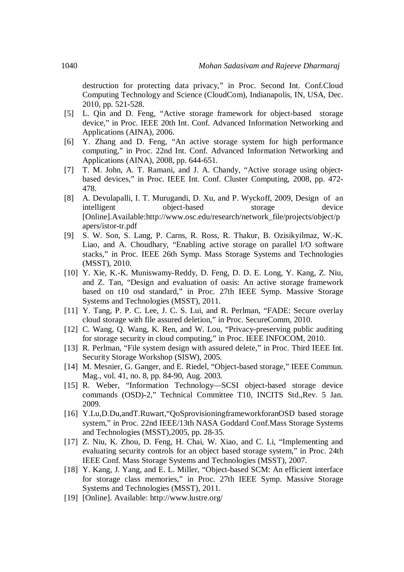destruction for protecting data privacy," in Proc. Second Int. Conf.Cloud Computing Technology and Science (CloudCom), Indianapolis, IN, USA, Dec. 2010, pp. 521-528.

- [5] L. Qin and D. Feng, "Active storage framework for object-based storage device," in Proc. IEEE 20th Int. Conf. Advanced Information Networking and Applications (AINA), 2006.
- [6] Y. Zhang and D. Feng, "An active storage system for high performance computing," in Proc. 22nd Int. Conf. Advanced Information Networking and Applications (AINA), 2008, pp. 644-651.
- [7] T. M. John, A. T. Ramani, and J. A. Chandy, "Active storage using objectbased devices," in Proc. IEEE Int. Conf. Cluster Computing, 2008, pp. 472- 478.
- [8] A. Devulapalli, I. T. Murugandi, D. Xu, and P. Wyckoff, 2009, Design of an intelligent object-based storage device [Online].Available:http://www.osc.edu/research/network\_file/projects/object/p apers/istor-tr.pdf
- [9] S. W. Son, S. Lang, P. Carns, R. Ross, R. Thakur, B. Ozisikyilmaz, W.-K. Liao, and A. Choudhary, "Enabling active storage on parallel I/O software stacks," in Proc. IEEE 26th Symp. Mass Storage Systems and Technologies (MSST), 2010.
- [10] Y. Xie, K.-K. Muniswamy-Reddy, D. Feng, D. D. E. Long, Y. Kang, Z. Niu, and Z. Tan, "Design and evaluation of oasis: An active storage framework based on t10 osd standard," in Proc. 27th IEEE Symp. Massive Storage Systems and Technologies (MSST), 2011.
- [11] Y. Tang, P. P. C. Lee, J. C. S. Lui, and R. Perlman, "FADE: Secure overlay cloud storage with file assured deletion," in Proc. SecureComm, 2010.
- [12] C. Wang, Q. Wang, K. Ren, and W. Lou, "Privacy-preserving public auditing for storage security in cloud computing," in Proc. IEEE INFOCOM, 2010.
- [13] R. Perlman, "File system design with assured delete," in Proc. Third IEEE Int. Security Storage Workshop (SISW), 2005.
- [14] M. Mesnier, G. Ganger, and E. Riedel, "Object-based storage," IEEE Commun. Mag., vol. 41, no. 8, pp. 84-90, Aug. 2003.
- [15] R. Weber, "Information Technology—SCSI object-based storage device commands (OSD)-2," Technical Committee T10, INCITS Std.,Rev. 5 Jan. 2009.
- [16] Y.Lu,D.Du,andT.Ruwart,"QoSprovisioningframeworkforanOSD based storage system," in Proc. 22nd IEEE/13th NASA Goddard Conf.Mass Storage Systems and Technologies (MSST),2005, pp. 28-35.
- [17] Z. Niu, K. Zhou, D. Feng, H. Chai, W. Xiao, and C. Li, "Implementing and evaluating security controls for an object based storage system," in Proc. 24th IEEE Conf. Mass Storage Systems and Technologies (MSST), 2007.
- [18] Y. Kang, J. Yang, and E. L. Miller, "Object-based SCM: An efficient interface for storage class memories," in Proc. 27th IEEE Symp. Massive Storage Systems and Technologies (MSST), 2011.
- [19] [Online]. Available: http://www.lustre.org/